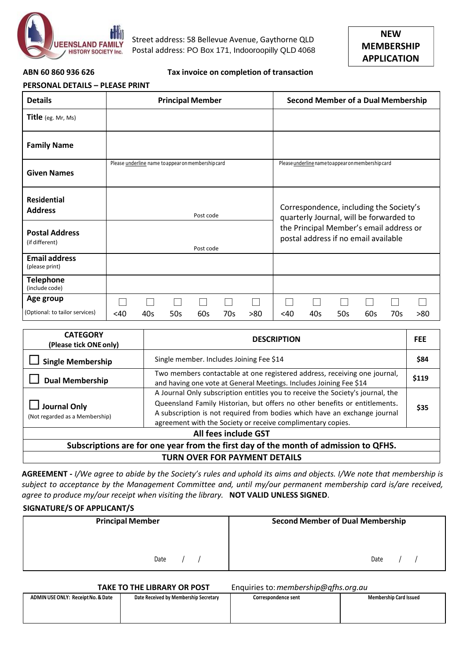

Street address: 58 Bellevue Avenue, Gaythorne QLD Postal address: PO Box 171, Indooroopilly QLD 4068



### **ABN 60 860 936 626 Tax invoice on completion of transaction**

| <b>PERSONAL DETAILS - PLEASE PRINT</b> |                      |  |  |  |  |
|----------------------------------------|----------------------|--|--|--|--|
| Details                                | <b>Principal Mem</b> |  |  |  |  |

| ENSUNAL DETAILS – FLEASE FNINT |                                                    |                                                    |  |  |  |  |
|--------------------------------|----------------------------------------------------|----------------------------------------------------|--|--|--|--|
| <b>Details</b>                 | <b>Principal Member</b>                            | <b>Second Member of a Dual Membership</b>          |  |  |  |  |
| Title (eg. Mr, Ms)             |                                                    |                                                    |  |  |  |  |
| <b>Family Name</b>             |                                                    |                                                    |  |  |  |  |
|                                | Please underline name to appear on membership card | Please underline name to appear on membership card |  |  |  |  |

| <b>Given Names</b>                      |           | a anaonmo name to appear ommemberomp cara |     |     |     |                                                                                    |     |     |     |     |     |     |
|-----------------------------------------|-----------|-------------------------------------------|-----|-----|-----|------------------------------------------------------------------------------------|-----|-----|-----|-----|-----|-----|
| Residential<br><b>Address</b>           | Post code |                                           |     |     |     | Correspondence, including the Society's<br>quarterly Journal, will be forwarded to |     |     |     |     |     |     |
| <b>Postal Address</b><br>(if different) | Post code |                                           |     |     |     | the Principal Member's email address or<br>postal address if no email available    |     |     |     |     |     |     |
| <b>Email address</b><br>(please print)  |           |                                           |     |     |     |                                                                                    |     |     |     |     |     |     |
| <b>Telephone</b><br>(include code)      |           |                                           |     |     |     |                                                                                    |     |     |     |     |     |     |
| Age group                               |           |                                           |     |     |     |                                                                                    |     |     |     |     |     |     |
| (Optional: to tailor services)          | <40       | 40s                                       | 50s | 60s | 70s | >80                                                                                | <40 | 40s | 50s | 60s | 70s | >80 |

| <b>CATEGORY</b><br>(Please tick ONE only)                                            | <b>DESCRIPTION</b>                                                                                                                                                                                                                                                                                       | <b>FEE</b> |  |  |  |
|--------------------------------------------------------------------------------------|----------------------------------------------------------------------------------------------------------------------------------------------------------------------------------------------------------------------------------------------------------------------------------------------------------|------------|--|--|--|
| <b>Single Membership</b>                                                             | Single member. Includes Joining Fee \$14                                                                                                                                                                                                                                                                 | \$84       |  |  |  |
| <b>Dual Membership</b>                                                               | Two members contactable at one registered address, receiving one journal,<br>and having one vote at General Meetings. Includes Joining Fee \$14                                                                                                                                                          | \$119      |  |  |  |
| <b>Journal Only</b><br>(Not regarded as a Membership)                                | A Journal Only subscription entitles you to receive the Society's journal, the<br>Queensland Family Historian, but offers no other benefits or entitlements.<br>A subscription is not required from bodies which have an exchange journal<br>agreement with the Society or receive complimentary copies. | \$35       |  |  |  |
| All fees include GST                                                                 |                                                                                                                                                                                                                                                                                                          |            |  |  |  |
| Subscriptions are for one year from the first day of the month of admission to QFHS. |                                                                                                                                                                                                                                                                                                          |            |  |  |  |
| <b>TURN OVER FOR PAYMENT DETAILS</b>                                                 |                                                                                                                                                                                                                                                                                                          |            |  |  |  |

AGREEMENT - I/We agree to abide by the Society's rules and uphold its aims and objects. I/We note that membership is *subject to acceptance by the Management Committee and, until my/our permanent membership card is/are received, agree to produce my/our receipt when visiting the library.* **NOT VALID UNLESS SIGNED**.

# **SIGNATURE/S OF APPLICANT/S**

| <b>Principal Member</b> | <b>Second Member of Dual Membership</b> |
|-------------------------|-----------------------------------------|
|                         |                                         |
| Date                    | Date                                    |

**TAKE TO THE LIBRARY OR POST** Enquiries to:*[membership@qfhs.org.au](mailto:membership@qfhs.org.au)*

|                                    |                                       | .                   | ___<br>$\sim$<br>___          |
|------------------------------------|---------------------------------------|---------------------|-------------------------------|
| ADMIN USE ONLY: Receipt No. & Date | Date Received by Membership Secretary | Correspondence sent | <b>Membership Card Issued</b> |
|                                    |                                       |                     |                               |
|                                    |                                       |                     |                               |
|                                    |                                       |                     |                               |